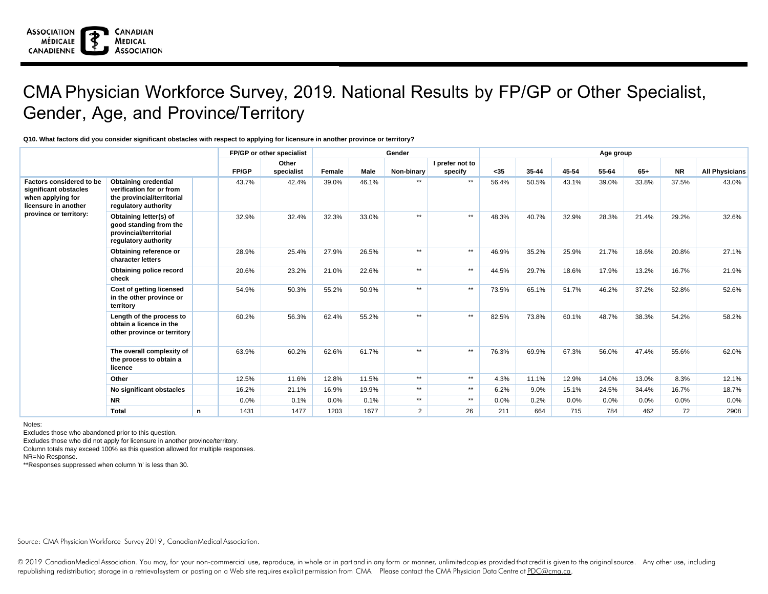## CMA Physician Workforce Survey, 2019. National Results by FP/GP or Other Specialist, Gender, Age, and Province/Territory

## **Q10. What factors did you consider significant obstacles with respect to applying for licensure in another province or territory?**

|                                                                                                                          |                                                                                                               |           | FP/GP or other specialist |        |             | Gender         | Age group       |       |           |       |       |       |           |                       |
|--------------------------------------------------------------------------------------------------------------------------|---------------------------------------------------------------------------------------------------------------|-----------|---------------------------|--------|-------------|----------------|-----------------|-------|-----------|-------|-------|-------|-----------|-----------------------|
|                                                                                                                          |                                                                                                               |           | Other                     |        |             |                | I prefer not to |       |           |       |       |       |           |                       |
|                                                                                                                          |                                                                                                               | FP/GP     | specialist                | Female | <b>Male</b> | Non-binary     | specify         | $35$  | $35 - 44$ | 45-54 | 55-64 | $65+$ | <b>NR</b> | <b>All Physicians</b> |
| Factors considered to be<br>significant obstacles<br>when applying for<br>licensure in another<br>province or territory: | <b>Obtaining credential</b><br>verification for or from<br>the provincial/territorial<br>regulatory authority | 43.7%     | 42.4%                     | 39.0%  | 46.1%       | $***$          | $***$           | 56.4% | 50.5%     | 43.1% | 39.0% | 33.8% | 37.5%     | 43.0%                 |
|                                                                                                                          | Obtaining letter(s) of<br>good standing from the<br>provincial/territorial<br>regulatory authority            | 32.9%     | 32.4%                     | 32.3%  | 33.0%       | $***$          | $***$           | 48.3% | 40.7%     | 32.9% | 28.3% | 21.4% | 29.2%     | 32.6%                 |
|                                                                                                                          | Obtaining reference or<br>character letters                                                                   | 28.9%     | 25.4%                     | 27.9%  | 26.5%       | $***$          | $**$            | 46.9% | 35.2%     | 25.9% | 21.7% | 18.6% | 20.8%     | 27.1%                 |
|                                                                                                                          | Obtaining police record<br>check                                                                              | 20.6%     | 23.2%                     | 21.0%  | 22.6%       | $***$          | $\star\star$    | 44.5% | 29.7%     | 18.6% | 17.9% | 13.2% | 16.7%     | 21.9%                 |
|                                                                                                                          | Cost of getting licensed<br>in the other province or<br>territory                                             | 54.9%     | 50.3%                     | 55.2%  | 50.9%       | $***$          | $***$           | 73.5% | 65.1%     | 51.7% | 46.2% | 37.2% | 52.8%     | 52.6%                 |
|                                                                                                                          | Length of the process to<br>obtain a licence in the<br>other province or territory                            | 60.2%     | 56.3%                     | 62.4%  | 55.2%       | $***$          | $**$            | 82.5% | 73.8%     | 60.1% | 48.7% | 38.3% | 54.2%     | 58.2%                 |
|                                                                                                                          | The overall complexity of<br>the process to obtain a<br>licence                                               | 63.9%     | 60.2%                     | 62.6%  | 61.7%       | $***$          | $\star\star$    | 76.3% | 69.9%     | 67.3% | 56.0% | 47.4% | 55.6%     | 62.0%                 |
|                                                                                                                          | Other                                                                                                         | 12.5%     | 11.6%                     | 12.8%  | 11.5%       | $***$          | $\star\star$    | 4.3%  | 11.1%     | 12.9% | 14.0% | 13.0% | 8.3%      | 12.1%                 |
|                                                                                                                          | No significant obstacles                                                                                      | 16.2%     | 21.1%                     | 16.9%  | 19.9%       | $***$          | $\star\star$    | 6.2%  | 9.0%      | 15.1% | 24.5% | 34.4% | 16.7%     | 18.7%                 |
|                                                                                                                          | <b>NR</b>                                                                                                     | 0.0%      | 0.1%                      | 0.0%   | 0.1%        | $***$          | $\star\star$    | 0.0%  | 0.2%      | 0.0%  | 0.0%  | 0.0%  | 0.0%      | $0.0\%$               |
|                                                                                                                          | Total                                                                                                         | 1431<br>n | 1477                      | 1203   | 1677        | $\overline{2}$ | 26              | 211   | 664       | 715   | 784   | 462   | 72        | 2908                  |

Notes:

Excludes those who abandoned prior to this question.

Excludes those who did not apply for licensure in another province/territory.

Column totals may exceed 100% as this question allowed for multiple responses.

NR=No Response.

\*\*Responses suppressed when column 'n' is less than 30.

Source: CMA Physician Workforce Survey 2019, CanadianMedical Association.

© 2019 CanadianMedical Association. You may, for your non-commercial use, reproduce, in whole or in part and in any form or manner, unlimited copies provided that credit is given to the original source. Any other use, incl republishing redistribution storage in a retrievalsystem or posting on a Web site requires explicit permission from CMA. Please contact the CMA Physician Data Centre at PDC@cma.ca.